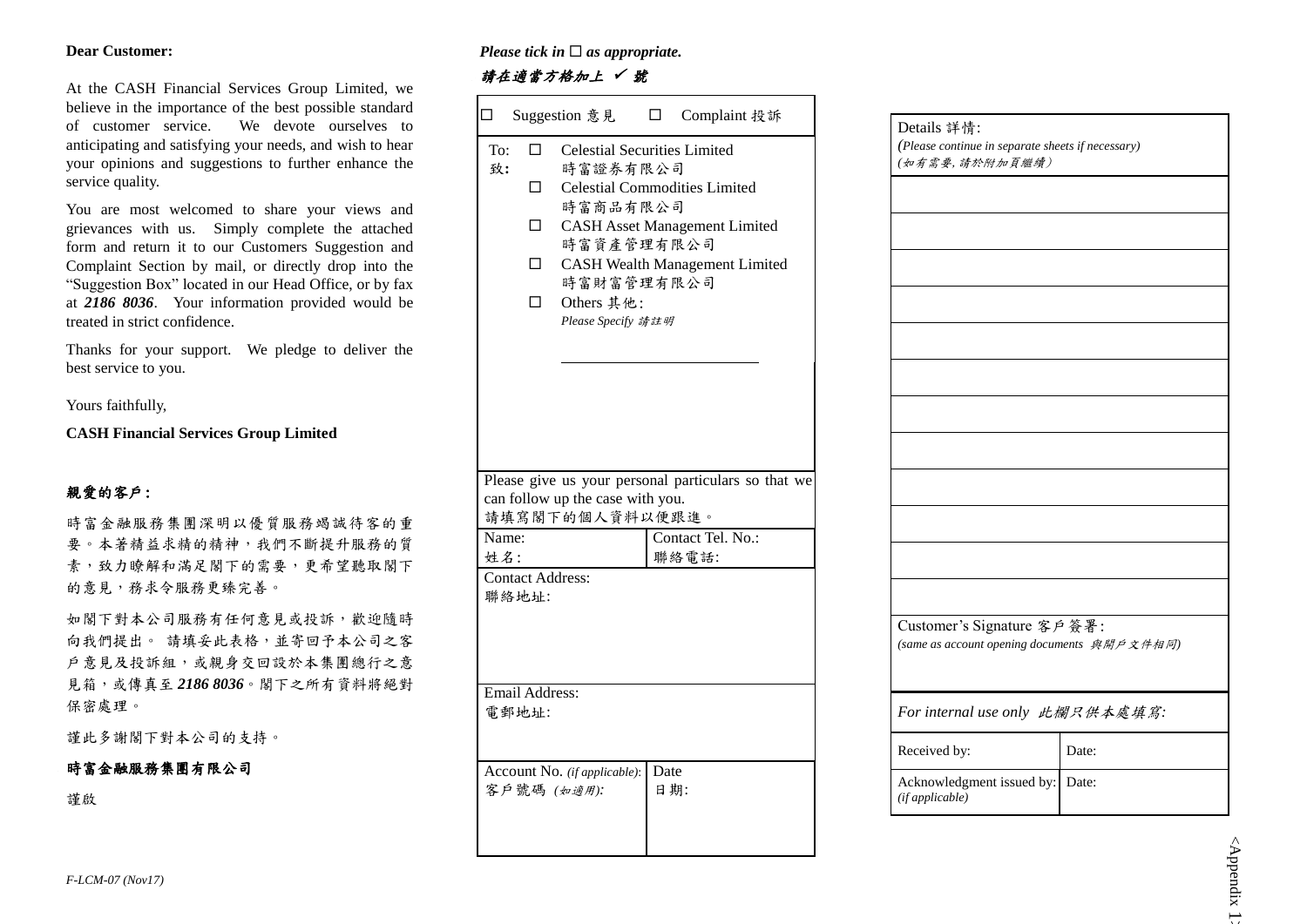#### **Dear Customer:**

At the CASH Financial Services Group Limited, we believe in the importance of the best possible standard of customer service. We devote ourselves to anticipating and satisfying your needs, and wish to hear your opinions and suggestions to further enhance the service quality.

You are most welcomed to share your views and grievances with us. Simply complete the attached form and return it to our Customers Suggestion and Complaint Section by mail, or directly drop into the "Suggestion Box" located in our Head Office, or by fax at *2186 8036*. Your information provided would be treated in strict confidence.

Thanks for your support. We pledge to deliver the best service to you.

Yours faithfully,

**CASH Financial Services Group Limited**

## 親愛的客戶:

時富金融服務集團深明以優質服務竭誠待客的重 要。本著精益求精的精神,我們不斷提升服務的質 素,致力瞭解和滿足閣下的需要,更希望聽取閣下 的意見,務求令服務更臻完善。

如閣下對本公司服務有任何意見或投訴,歡迎隨時 向我們提出。 請填妥此表格,並寄回予本公司之客 戶意見及投訴組,或親身交回設於本集團總行之意 見箱,或傳真至 *2186 8036*。閣下之所有資料將絕對 保密處理。

謹此多謝閣下對本公司的支持。

### 時富金融服務集團有限公司

謹啟

#### *Please tick in*  $\Box$  *as appropriate.*

### 請在適當方格加上 √ 號

| ◻         |                                   | Suggestion 意見                                                                                                               | $\Box$ | Complaint 投訴                                                                                                          |
|-----------|-----------------------------------|-----------------------------------------------------------------------------------------------------------------------------|--------|-----------------------------------------------------------------------------------------------------------------------|
| To:<br>致: | П.<br>П.<br>$\Box$<br>□<br>$\Box$ | <b>Celestial Securities Limited</b><br>時富證券有限公司<br>時富商品有限公司<br>時富資產管理有限公司<br>時富財富管理有限公司<br>Others 其他:<br>Please Specify 請註明 |        | <b>Celestial Commodities Limited</b><br><b>CASH Asset Management Limited</b><br><b>CASH Wealth Management Limited</b> |
| Name:     |                                   | can follow up the case with you.<br>請填寫閣下的個人資料以便跟進。                                                                         |        | Please give us your personal particulars so that we<br>Contact Tel. No.:                                              |
| 姓名:       | <b>Contact Address:</b><br>聯絡地址:  |                                                                                                                             |        | 聯絡電話:                                                                                                                 |
|           | Email Address:<br>電郵地址:           |                                                                                                                             |        |                                                                                                                       |
|           |                                   | Account No. (if applicable):<br>客戶號碼 (如適用):                                                                                 | Date   | 日期:                                                                                                                   |

| (Please continue in separate sheets if necessary)<br>(如有需要,請於附加頁繼續) |                                             |  |  |  |
|---------------------------------------------------------------------|---------------------------------------------|--|--|--|
|                                                                     |                                             |  |  |  |
|                                                                     |                                             |  |  |  |
|                                                                     |                                             |  |  |  |
|                                                                     |                                             |  |  |  |
|                                                                     |                                             |  |  |  |
|                                                                     |                                             |  |  |  |
|                                                                     |                                             |  |  |  |
|                                                                     |                                             |  |  |  |
|                                                                     |                                             |  |  |  |
|                                                                     |                                             |  |  |  |
|                                                                     |                                             |  |  |  |
|                                                                     |                                             |  |  |  |
| Customer's Signature 客戶簽署:                                          | (same as account opening documents 與開戶文件相同) |  |  |  |
|                                                                     | For internal use only 此欄只供本處填寫:             |  |  |  |
| Received by:                                                        | Date:                                       |  |  |  |
|                                                                     |                                             |  |  |  |